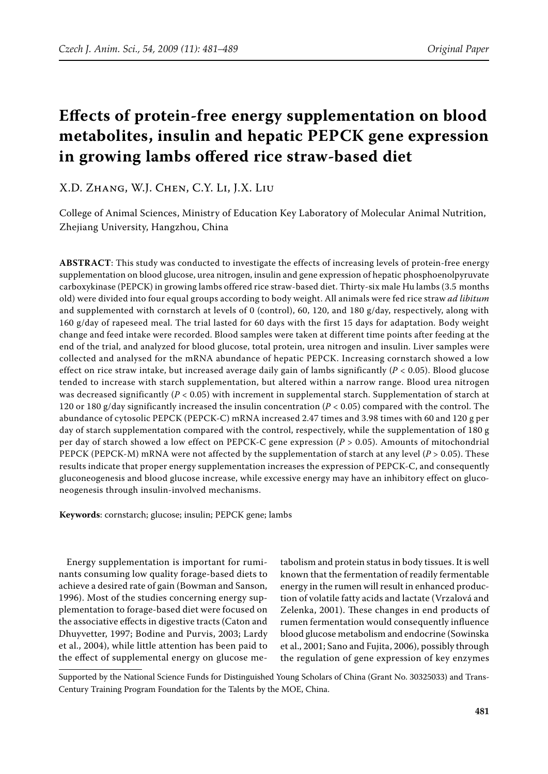# **Effects of protein-free energy supplementation on blood metabolites, insulin and hepatic PEPCK gene expression in growing lambs offered rice straw-based diet**

# X.D. Zhang, W.J. Chen, C.Y. Li, J.X. Liu

College of Animal Sciences, Ministry of Education Key Laboratory of Molecular Animal Nutrition, Zhejiang University, Hangzhou, China

**ABSTRACT**: This study was conducted to investigate the effects of increasing levels of protein-free energy supplementation on blood glucose, urea nitrogen, insulin and gene expression of hepatic phosphoenolpyruvate carboxykinase (PEPCK) in growing lambs offered rice straw-based diet. Thirty-six male Hu lambs (3.5 months old) were divided into four equal groups according to body weight. All animals were fed rice straw *ad libitum* and supplemented with cornstarch at levels of 0 (control), 60, 120, and 180  $g/day$ , respectively, along with 160 g/day of rapeseed meal. The trial lasted for 60 days with the first 15 days for adaptation. Body weight change and feed intake were recorded. Blood samples were taken at different time points after feeding at the end of the trial, and analyzed for blood glucose, total protein, urea nitrogen and insulin. Liver samples were collected and analysed for the mRNA abundance of hepatic PEPCK. Increasing cornstarch showed a low effect on rice straw intake, but increased average daily gain of lambs significantly ( $P < 0.05$ ). Blood glucose tended to increase with starch supplementation, but altered within a narrow range. Blood urea nitrogen was decreased significantly (*P* < 0.05) with increment in supplemental starch. Supplementation of starch at 120 or 180 g/day significantly increased the insulin concentration (*P* < 0.05) compared with the control. The abundance of cytosolic PEPCK (PEPCK-C) mRNA increased 2.47 times and 3.98 times with 60 and 120 g per day of starch supplementation compared with the control, respectively, while the supplementation of 180 g per day of starch showed a low effect on PEPCK-C gene expression (*P* > 0.05). Amounts of mitochondrial PEPCK (PEPCK-M) mRNA were not affected by the supplementation of starch at any level (*P* > 0.05). These results indicate that proper energy supplementation increases the expression of PEPCK-C, and consequently gluconeogenesis and blood glucose increase, while excessive energy may have an inhibitory effect on gluconeogenesis through insulin-involved mechanisms.

**Keywords**: cornstarch; glucose; insulin; PEPCK gene; lambs

Energy supplementation is important for ruminants consuming low quality forage-based diets to achieve a desired rate of gain (Bowman and Sanson, 1996). Most of the studies concerning energy supplementation to forage-based diet were focused on the associative effects in digestive tracts (Caton and Dhuyvetter, 1997; Bodine and Purvis, 2003; Lardy et al., 2004), while little attention has been paid to the effect of supplemental energy on glucose me-

tabolism and protein status in body tissues. It is well known that the fermentation of readily fermentable energy in the rumen will result in enhanced production of volatile fatty acids and lactate (Vrzalová and Zelenka, 2001). These changes in end products of rumen fermentation would consequently influence blood glucose metabolism and endocrine (Sowinska et al., 2001; Sano and Fujita, 2006), possibly through the regulation of gene expression of key enzymes

Supported by the National Science Funds for Distinguished Young Scholars of China (Grant No. 30325033) and Trans-Century Training Program Foundation for the Talents by the MOE, China.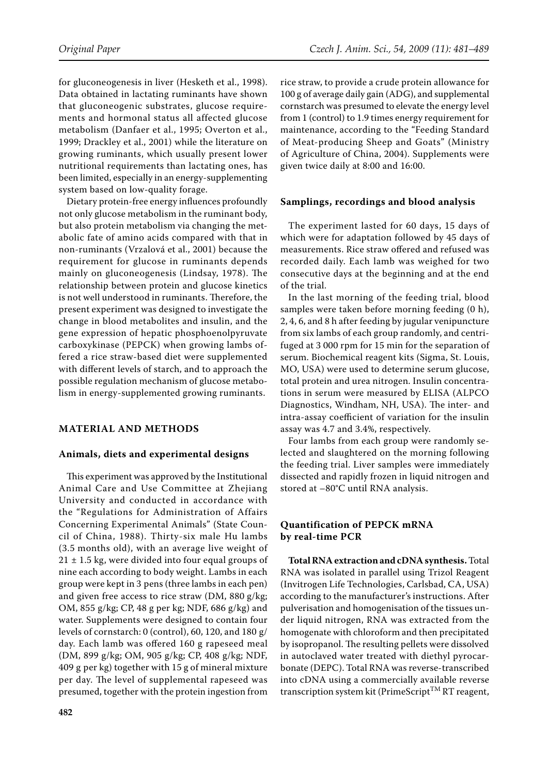for gluconeogenesis in liver (Hesketh et al., 1998). Data obtained in lactating ruminants have shown that gluconeogenic substrates, glucose requirements and hormonal status all affected glucose metabolism (Danfaer et al., 1995; Overton et al., 1999; Drackley et al., 2001) while the literature on growing ruminants, which usually present lower nutritional requirements than lactating ones, has been limited, especially in an energy-supplementing system based on low-quality forage.

Dietary protein-free energy influences profoundly not only glucose metabolism in the ruminant body, but also protein metabolism via changing the metabolic fate of amino acids compared with that in non-ruminants (Vrzalová et al., 2001) because the requirement for glucose in ruminants depends mainly on gluconeogenesis (Lindsay, 1978). The relationship between protein and glucose kinetics is not well understood in ruminants. Therefore, the present experiment was designed to investigate the change in blood metabolites and insulin, and the gene expression of hepatic phosphoenolpyruvate carboxykinase (PEPCK) when growing lambs offered a rice straw-based diet were supplemented with different levels of starch, and to approach the possible regulation mechanism of glucose metabolism in energy-supplemented growing ruminants.

## **MATERIAL AND METHODS**

#### **Animals, diets and experimental designs**

This experiment was approved by the Institutional Animal Care and Use Committee at Zhejiang University and conducted in accordance with the "Regulations for Administration of Affairs Concerning Experimental Animals" (State Council of China, 1988). Thirty-six male Hu lambs (3.5 months old), with an average live weight of  $21 \pm 1.5$  kg, were divided into four equal groups of nine each according to body weight. Lambs in each group were kept in 3 pens (three lambs in each pen) and given free access to rice straw (DM, 880 g/kg; OM, 855 g/kg; CP, 48 g per kg; NDF, 686 g/kg) and water. Supplements were designed to contain four levels of cornstarch: 0 (control), 60, 120, and 180 g/ day. Each lamb was offered 160 g rapeseed meal (DM, 899 g/kg; OM, 905 g/kg; CP, 408 g/kg; NDF, 409 g per kg) together with 15 g of mineral mixture per day. The level of supplemental rapeseed was presumed, together with the protein ingestion from

rice straw, to provide a crude protein allowance for 100 g of average daily gain (ADG), and supplemental cornstarch was presumed to elevate the energy level from 1 (control) to 1.9 times energy requirement for maintenance, according to the "Feeding Standard of Meat-producing Sheep and Goats" (Ministry of Agriculture of China, 2004). Supplements were given twice daily at 8:00 and 16:00.

#### **Samplings, recordings and blood analysis**

The experiment lasted for 60 days, 15 days of which were for adaptation followed by 45 days of measurements. Rice straw offered and refused was recorded daily. Each lamb was weighed for two consecutive days at the beginning and at the end of the trial.

In the last morning of the feeding trial, blood samples were taken before morning feeding (0 h), 2, 4, 6, and 8 h after feeding by jugular venipuncture from six lambs of each group randomly, and centrifuged at 3 000 rpm for 15 min for the separation of serum. Biochemical reagent kits (Sigma, St. Louis, MO, USA) were used to determine serum glucose, total protein and urea nitrogen. Insulin concentrations in serum were measured by ELISA (ALPCO Diagnostics, Windham, NH, USA). The inter- and intra-assay coefficient of variation for the insulin assay was 4.7 and 3.4%, respectively.

Four lambs from each group were randomly selected and slaughtered on the morning following the feeding trial. Liver samples were immediately dissected and rapidly frozen in liquid nitrogen and stored at –80°C until RNA analysis.

# **Quantification of PEPCK mRNA by real-time PCR**

**Total RNA extraction and cDNA synthesis.**Total RNA was isolated in parallel using Trizol Reagent (Invitrogen Life Technologies, Carlsbad, CA, USA) according to the manufacturer's instructions. After pulverisation and homogenisation of the tissues under liquid nitrogen, RNA was extracted from the homogenate with chloroform and then precipitated by isopropanol. The resulting pellets were dissolved in autoclaved water treated with diethyl pyrocarbonate (DEPC). Total RNA was reverse-transcribed into cDNA using a commercially available reverse transcription system kit (PrimeScript<sup>TM</sup> RT reagent,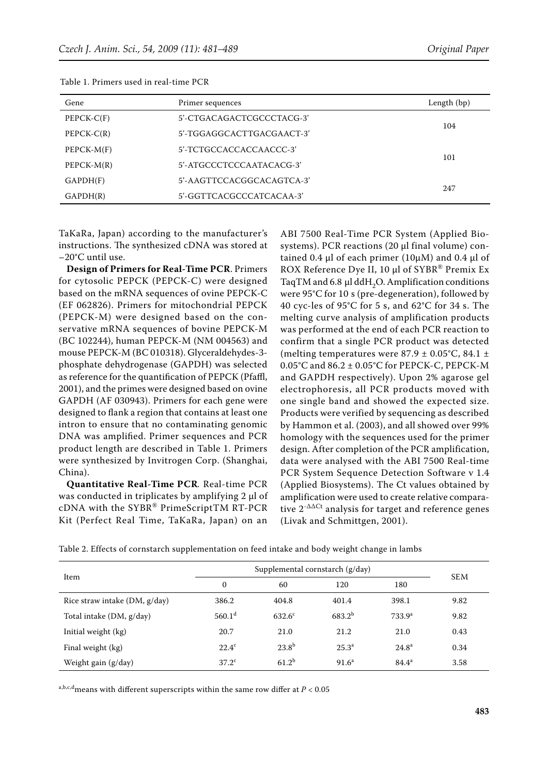| Gene         | Primer sequences          | Length (bp) |  |  |
|--------------|---------------------------|-------------|--|--|
| $PEPCK-C(F)$ | 5'-CTGACAGACTCGCCCTACG-3' |             |  |  |
| $PEPCK-C(R)$ | 5'-TGGAGGCACTTGACGAACT-3' | 104         |  |  |
| $PEPCK-M(F)$ | 5'-TCTGCCACCACCAACCC-3'   |             |  |  |
| $PEPCK-M(R)$ | 5'-ATGCCCTCCCAATACACG-3'  | 101         |  |  |
| GAPDH(F)     | 5'-AAGTTCCACGGCACAGTCA-3' |             |  |  |
| GAPDH(R)     | 5'-GGTTCACGCCCATCACAA-3'  | 247         |  |  |

Table 1. Primers used in real-time PCR

TaKaRa, Japan) according to the manufacturer's instructions. The synthesized cDNA was stored at –20°C until use.

**Design of Primers for Real-Time PCR**. Primers for cytosolic PEPCK (PEPCK-C) were designed based on the mRNA sequences of ovine PEPCK-C (EF 062826). Primers for mitochondrial PEPCK (PEPCK-M) were designed based on the conservative mRNA sequences of bovine PEPCK-M (BC 102244), human PEPCK-M (NM 004563) and mouse PEPCK-M (BC 010318). Glyceraldehydes-3 phosphate dehydrogenase (GAPDH) was selected as reference for the quantification of PEPCK (Pfaffl, 2001), and the primes were designed based on ovine GAPDH (AF 030943). Primers for each gene were designed to flank a region that contains at least one intron to ensure that no contaminating genomic DNA was amplified. Primer sequences and PCR product length are described in Table 1. Primers were synthesized by Invitrogen Corp. (Shanghai, China).

**Quantitative Real-Time PCR***.* Real-time PCR was conducted in triplicates by amplifying 2 µl of cDNA with the SYBR® PrimeScriptTM RT-PCR Kit (Perfect Real Time, TaKaRa, Japan) on an

ABI 7500 Real-Time PCR System (Applied Biosystems). PCR reactions (20 µl final volume) contained 0.4  $\mu$ l of each primer (10 $\mu$ M) and 0.4  $\mu$ l of ROX Reference Dye II, 10 µl of SYBR<sup>®</sup> Premix Ex TaqTM and  $6.8 \mu$ l ddH<sub>2</sub>O. Amplification conditions were 95°C for 10 s (pre-degeneration), followed by 40 cyc-les of 95°C for 5 s, and 62°C for 34 s. The melting curve analysis of amplification products was performed at the end of each PCR reaction to confirm that a single PCR product was detected (melting temperatures were  $87.9 \pm 0.05^{\circ}$ C,  $84.1 \pm$ 0.05°C and  $86.2 \pm 0.05$ °C for PEPCK-C, PEPCK-M and GAPDH respectively). Upon 2% agarose gel electrophoresis, all PCR products moved with one single band and showed the expected size. Products were verified by sequencing as described by Hammon et al. (2003), and all showed over 99% homology with the sequences used for the primer design. After completion of the PCR amplification, data were analysed with the ABI 7500 Real-time PCR System Sequence Detection Software v 1.4 (Applied Biosystems). The Ct values obtained by amplification were used to create relative comparative 2-ΔΔCt analysis for target and reference genes (Livak and Schmittgen, 2001).

|  |  |  |  | Table 2. Effects of cornstarch supplementation on feed intake and body weight change in lambs |  |  |  |  |  |  |  |  |
|--|--|--|--|-----------------------------------------------------------------------------------------------|--|--|--|--|--|--|--|--|
|--|--|--|--|-----------------------------------------------------------------------------------------------|--|--|--|--|--|--|--|--|

|                                 | Supplemental cornstarch (g/day) |                 |                   |                    |            |  |
|---------------------------------|---------------------------------|-----------------|-------------------|--------------------|------------|--|
| Item                            | $\mathbf{0}$                    | 60              | 120               | 180                | <b>SEM</b> |  |
| Rice straw intake $(DM, g/day)$ | 386.2                           | 404.8           | 401.4             | 398.1              | 9.82       |  |
| Total intake (DM, g/day)        | 560.1 <sup>d</sup>              | $632.6^{\circ}$ | $683.2^{b}$       | 733.9 <sup>a</sup> | 9.82       |  |
| Initial weight (kg)             | 20.7                            | 21.0            | 21.2              | 21.0               | 0.43       |  |
| Final weight (kg)               | $22.4^{\circ}$                  | $23.8^{b}$      | $25.3^{\circ}$    | $24.8^{\rm a}$     | 0.34       |  |
| Weight gain (g/day)             | 37.2 <sup>c</sup>               | $61.2^b$        | 91.6 <sup>a</sup> | $84.4^a$           | 3.58       |  |

a,b,c,dmeans with different superscripts within the same row differ at *P* < 0.05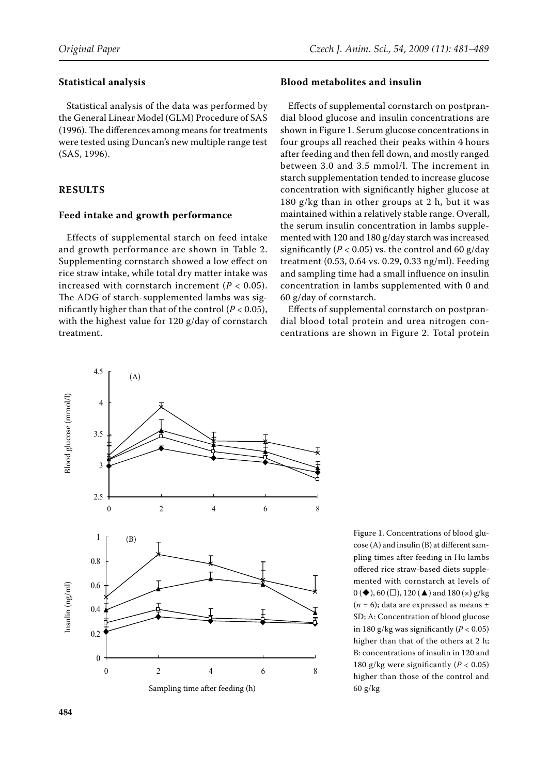# **Statistical analysis**

Statistical analysis of the data was performed by the General Linear Model (GLM) Procedure of SAS (1996). The differences among means for treatments were tested using Duncan's new multiple range test (SAS, 1996).

# **RESULTS**

# **Feed intake and growth performance**

Effects of supplemental starch on feed intake and growth performance are shown in Table 2. Supplementing cornstarch showed a low effect on rice straw intake, while total dry matter intake was increased with cornstarch increment  $(P < 0.05)$ . The ADG of starch-supplemented lambs was significantly higher than that of the control  $(P < 0.05)$ , with the highest value for 120 g/day of cornstarch treatment.



## **Blood metabolites and insulin**

Effects of supplemental cornstarch on postprandial blood glucose and insulin concentrations are shown in Figure 1. Serum glucose concentrations in four groups all reached their peaks within 4 hours after feeding and then fell down, and mostly ranged between 3.0 and 3.5 mmol/l. The increment in starch supplementation tended to increase glucose concentration with significantly higher glucose at 180 g/kg than in other groups at 2 h, but it was maintained within a relatively stable range. Overall, the serum insulin concentration in lambs supplemented with 120 and 180 g/day starch was increased significantly ( $P < 0.05$ ) vs. the control and 60 g/day treatment (0.53, 0.64 vs. 0.29, 0.33 ng/ml). Feeding and sampling time had a small influence on insulin concentration in lambs supplemented with 0 and 60 g/day of cornstarch.

Effects of supplemental cornstarch on postprandial blood total protein and urea nitrogen concentrations are shown in Figure 2. Total protein

Figure 1. Concentrations of blood glucose (A) and insulin (B) at different sampling times after feeding in Hu lambs offered rice straw-based diets supplemented with cornstarch at levels of  $0 \left( \blacklozenge \right)$ , 60 ( $\square$ ), 120 ( $\blacktriangle$ ) and 180 ( $\times$ ) g/kg ( $n = 6$ ); data are expressed as means  $\pm$ SD; A: Concentration of blood glucose in 180 g/kg was significantly  $(P < 0.05)$ higher than that of the others at 2 h; B: concentrations of insulin in 120 and 180 g/kg were significantly  $(P < 0.05)$ higher than those of the control and 60 g/kg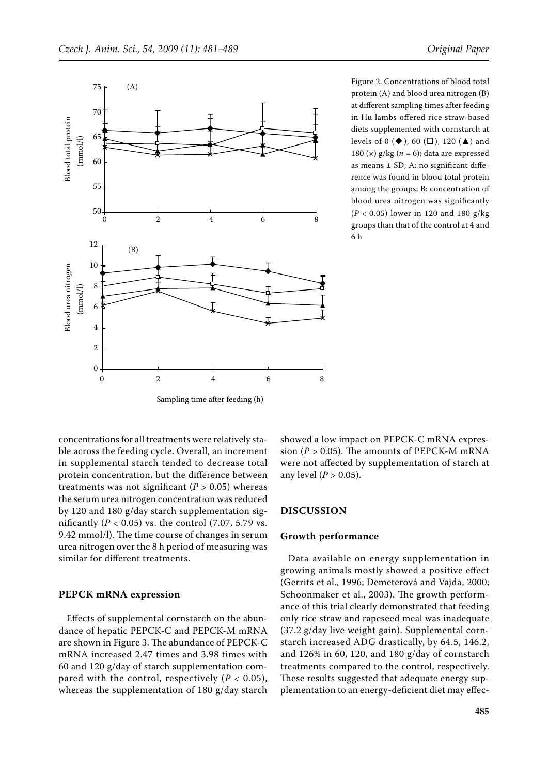

Figure 2. Concentrations of blood total protein (A) and blood urea nitrogen (B) at different sampling times after feeding in Hu lambs offered rice straw-based diets supplemented with cornstarch at levels of 0 ( $\blacklozenge$ ), 60 ( $\square$ ), 120 ( $\blacktriangle$ ) and 180 (×) g/kg (*n* = 6); data are expressed as means ± SD; A: no significant difference was found in blood total protein among the groups; B: concentration of blood urea nitrogen was significantly (*P* < 0.05) lower in 120 and 180 g/kg groups than that of the control at 4 and 6 h

concentrations for all treatments were relatively stable across the feeding cycle. Overall, an increment in supplemental starch tended to decrease total protein concentration, but the difference between treatments was not significant  $(P > 0.05)$  whereas the serum urea nitrogen concentration was reduced by 120 and 180 g/day starch supplementation significantly  $(P < 0.05)$  vs. the control  $(7.07, 5.79)$  vs. 9.42 mmol/l). The time course of changes in serum urea nitrogen over the 8 h period of measuring was similar for different treatments.

#### **PEPCK mRNA expression**

Effects of supplemental cornstarch on the abundance of hepatic PEPCK-C and PEPCK-M mRNA are shown in Figure 3. The abundance of PEPCK-C mRNA increased 2.47 times and 3.98 times with 60 and 120 g/day of starch supplementation compared with the control, respectively  $(P < 0.05)$ , whereas the supplementation of 180 g/day starch

showed a low impact on PEPCK-C mRNA expression  $(P > 0.05)$ . The amounts of PEPCK-M mRNA were not affected by supplementation of starch at any level  $(P > 0.05)$ .

## **DISCUSSION**

### **Growth performance**

Data available on energy supplementation in growing animals mostly showed a positive effect (Gerrits et al., 1996; Demeterová and Vajda, 2000; Schoonmaker et al., 2003). The growth performance of this trial clearly demonstrated that feeding only rice straw and rapeseed meal was inadequate (37.2 g/day live weight gain). Supplemental cornstarch increased ADG drastically, by 64.5, 146.2, and 126% in 60, 120, and 180 g/day of cornstarch treatments compared to the control, respectively. These results suggested that adequate energy supplementation to an energy-deficient diet may effec-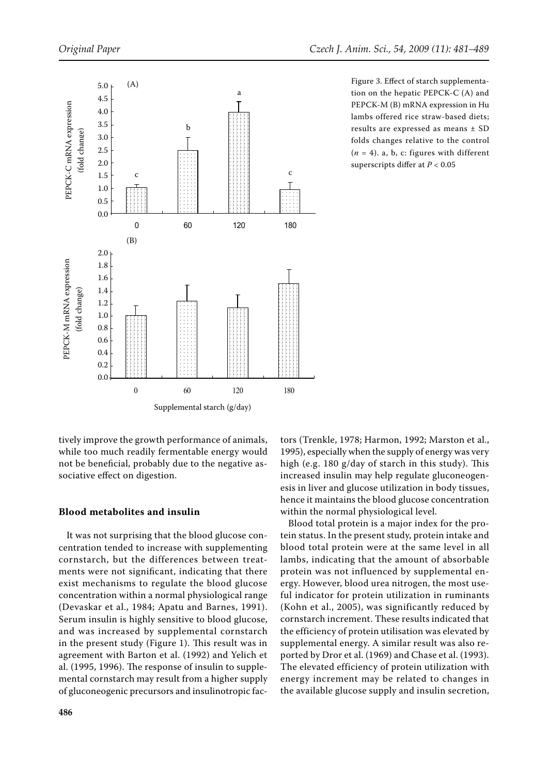

Figure 3. Effect of starch supplementation on the hepatic PEPCK-C (A) and PEPCK-M (B) mRNA expression in Hu lambs offered rice straw-based diets; results are expressed as means ± SD folds changes relative to the control  $(n = 4)$ . a, b, c: figures with different superscripts differ at *P* < 0.05

tively improve the growth performance of animals, while too much readily fermentable energy would not be beneficial, probably due to the negative associative effect on digestion.

## **Blood metabolites and insulin**

It was not surprising that the blood glucose concentration tended to increase with supplementing cornstarch, but the differences between treatments were not significant, indicating that there exist mechanisms to regulate the blood glucose concentration within a normal physiological range (Devaskar et al., 1984; Apatu and Barnes, 1991). Serum insulin is highly sensitive to blood glucose, and was increased by supplemental cornstarch in the present study (Figure 1). This result was in agreement with Barton et al. (1992) and Yelich et al. (1995, 1996). The response of insulin to supplemental cornstarch may result from a higher supply of gluconeogenic precursors and insulinotropic fac-

increased insulin may help regulate gluconeogenesis in liver and glucose utilization in body tissues, hence it maintains the blood glucose concentration within the normal physiological level. Blood total protein is a major index for the protein status. In the present study, protein intake and

blood total protein were at the same level in all lambs, indicating that the amount of absorbable protein was not influenced by supplemental energy. However, blood urea nitrogen, the most useful indicator for protein utilization in ruminants (Kohn et al., 2005), was significantly reduced by cornstarch increment. These results indicated that the efficiency of protein utilisation was elevated by supplemental energy. A similar result was also reported by Dror et al. (1969) and Chase et al. (1993). The elevated efficiency of protein utilization with energy increment may be related to changes in the available glucose supply and insulin secretion,

tors (Trenkle, 1978; Harmon, 1992; Marston et al., 1995), especially when the supply of energy was very high (e.g. 180 g/day of starch in this study). This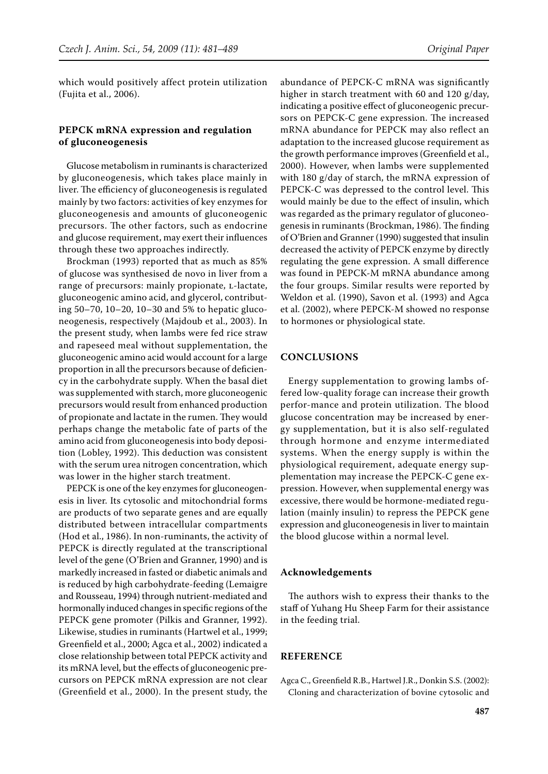which would positively affect protein utilization (Fujita et al., 2006).

## **PEPCK mRNA expression and regulation of gluconeogenesis**

Glucose metabolism in ruminants is characterized by gluconeogenesis, which takes place mainly in liver. The efficiency of gluconeogenesis is regulated mainly by two factors: activities of key enzymes for gluconeogenesis and amounts of gluconeogenic precursors. The other factors, such as endocrine and glucose requirement, may exert their influences through these two approaches indirectly.

Brockman (1993) reported that as much as 85% of glucose was synthesised de novo in liver from a range of precursors: mainly propionate, L-lactate, gluconeogenic amino acid, and glycerol, contributing 50–70, 10–20, 10–30 and 5% to hepatic gluconeogenesis, respectively (Majdoub et al., 2003). In the present study, when lambs were fed rice straw and rapeseed meal without supplementation, the gluconeogenic amino acid would account for a large proportion in all the precursors because of deficiency in the carbohydrate supply. When the basal diet was supplemented with starch, more gluconeogenic precursors would result from enhanced production of propionate and lactate in the rumen. They would perhaps change the metabolic fate of parts of the amino acid from gluconeogenesis into body deposition (Lobley, 1992). This deduction was consistent with the serum urea nitrogen concentration, which was lower in the higher starch treatment.

PEPCK is one of the key enzymes for gluconeogenesis in liver. Its cytosolic and mitochondrial forms are products of two separate genes and are equally distributed between intracellular compartments (Hod et al., 1986). In non-ruminants, the activity of PEPCK is directly regulated at the transcriptional level of the gene (O'Brien and Granner, 1990) and is markedly increased in fasted or diabetic animals and is reduced by high carbohydrate-feeding (Lemaigre and Rousseau, 1994) through nutrient-mediated and hormonally induced changes in specific regions of the PEPCK gene promoter (Pilkis and Granner, 1992). Likewise, studies in ruminants (Hartwel et al., 1999; Greenfield et al., 2000; Agca et al., 2002) indicated a close relationship between total PEPCK activity and its mRNA level, but the effects of gluconeogenic precursors on PEPCK mRNA expression are not clear (Greenfield et al., 2000). In the present study, the

abundance of PEPCK-C mRNA was significantly higher in starch treatment with 60 and 120 g/day, indicating a positive effect of gluconeogenic precursors on PEPCK-C gene expression. The increased mRNA abundance for PEPCK may also reflect an adaptation to the increased glucose requirement as the growth performance improves (Greenfield et al., 2000). However, when lambs were supplemented with 180 g/day of starch, the mRNA expression of PEPCK-C was depressed to the control level. This would mainly be due to the effect of insulin, which was regarded as the primary regulator of gluconeogenesis in ruminants (Brockman, 1986). The finding of O'Brien and Granner (1990) suggested that insulin decreased the activity of PEPCK enzyme by directly regulating the gene expression. A small difference was found in PEPCK-M mRNA abundance among the four groups. Similar results were reported by Weldon et al. (1990), Savon et al. (1993) and Agca et al. (2002), where PEPCK-M showed no response to hormones or physiological state.

# **CONCLUSIONS**

Energy supplementation to growing lambs offered low-quality forage can increase their growth perfor-mance and protein utilization. The blood glucose concentration may be increased by energy supplementation, but it is also self-regulated through hormone and enzyme intermediated systems. When the energy supply is within the physiological requirement, adequate energy supplementation may increase the PEPCK-C gene expression. However, when supplemental energy was excessive, there would be hormone-mediated regulation (mainly insulin) to repress the PEPCK gene expression and gluconeogenesis in liver to maintain the blood glucose within a normal level.

#### **Acknowledgements**

The authors wish to express their thanks to the staff of Yuhang Hu Sheep Farm for their assistance in the feeding trial.

## **REFERENCE**

Agca C., Greenfield R.B., Hartwel J.R., Donkin S.S. (2002): Cloning and characterization of bovine cytosolic and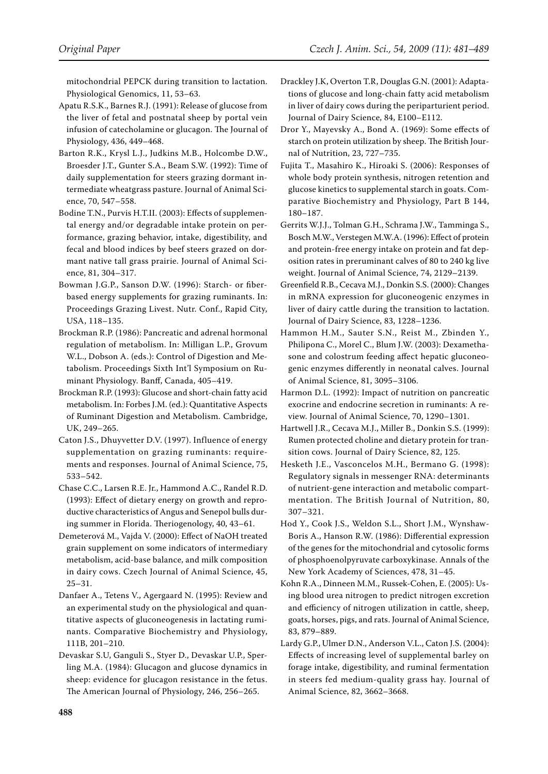mitochondrial PEPCK during transition to lactation. Physiological Genomics, 11, 53–63.

- Apatu R.S.K., Barnes R.J. (1991): Release of glucose from the liver of fetal and postnatal sheep by portal vein infusion of catecholamine or glucagon. The Journal of Physiology, 436, 449–468.
- Barton R.K., Krysl L.J., Judkins M.B., Holcombe D.W., Broesder J.T., Gunter S.A., Beam S.W. (1992): Time of daily supplementation for steers grazing dormant intermediate wheatgrass pasture. Journal of Animal Science, 70, 547–558.
- Bodine T.N., Purvis H.T.II. (2003): Effects of supplemental energy and/or degradable intake protein on performance, grazing behavior, intake, digestibility, and fecal and blood indices by beef steers grazed on dormant native tall grass prairie. Journal of Animal Science, 81, 304–317.
- Bowman J.G.P., Sanson D.W. (1996): Starch- or fiberbased energy supplements for grazing ruminants. In: Proceedings Grazing Livest. Nutr. Conf., Rapid City, USA, 118–135.
- Brockman R.P. (1986): Pancreatic and adrenal hormonal regulation of metabolism. In: Milligan L.P., Grovum W.L., Dobson A. (eds.): Control of Digestion and Metabolism. Proceedings Sixth Int'l Symposium on Ruminant Physiology. Banff, Canada, 405–419.
- Brockman R.P. (1993): Glucose and short-chain fatty acid metabolism. In: Forbes J.M. (ed.): Quantitative Aspects of Ruminant Digestion and Metabolism. Cambridge, UK, 249–265.
- Caton J.S., Dhuyvetter D.V. (1997). Influence of energy supplementation on grazing ruminants: requirements and responses. Journal of Animal Science, 75, 533–542.
- Chase C.C., Larsen R.E. Jr., Hammond A.C., Randel R.D. (1993): Effect of dietary energy on growth and reproductive characteristics of Angus and Senepol bulls during summer in Florida. Theriogenology, 40, 43–61.
- Demeterová M., Vajda V. (2000): Effect of NaOH treated grain supplement on some indicators of intermediary metabolism, acid-base balance, and milk composition in dairy cows. Czech Journal of Animal Science, 45, 25–31.
- Danfaer A., Tetens V., Agergaard N. (1995): Review and an experimental study on the physiological and quantitative aspects of gluconeogenesis in lactating ruminants. Comparative biochemistry and physiology, 111B, 201–210.
- Devaskar S.U, Ganguli S., Styer D., Devaskar U.P., Sperling M.A. (1984): Glucagon and glucose dynamics in sheep: evidence for glucagon resistance in the fetus. The American journal of physiology, 246, 256–265.
- Drackley J.K, Overton T.R, Douglas G.N. (2001): Adaptations of glucose and long-chain fatty acid metabolism in liver of dairy cows during the periparturient period. Journal of Dairy Science, 84, E100–E112.
- Dror Y., Mayevsky A., Bond A. (1969): Some effects of starch on protein utilization by sheep. The British Journal of Nutrition, 23, 727–735.
- Fujita T., Masahiro K., Hiroaki S. (2006): Responses of whole body protein synthesis, nitrogen retention and glucose kinetics to supplemental starch in goats. Comparative biochemistry and physiology, Part B 144, 180–187.
- Gerrits W.J.J., Tolman G.H., Schrama J.W., Tamminga S., Bosch M.W., Verstegen M.W.A. (1996): Effect of protein and protein-free energy intake on protein and fat deposition rates in preruminant calves of 80 to 240 kg live weight. Journal of Animal Science, 74, 2129–2139.
- Greenfield R.B., Cecava M.J., Donkin S.S. (2000): Changes in mRNA expression for gluconeogenic enzymes in liver of dairy cattle during the transition to lactation. Journal of Dairy Science, 83, 1228–1236.
- Hammon H.M., Sauter S.N., Reist M., Zbinden Y., Philipona C., Morel C., Blum J.W. (2003): Dexamethasone and colostrum feeding affect hepatic gluconeogenic enzymes differently in neonatal calves. Journal of Animal Science, 81, 3095–3106.
- Harmon D.L. (1992): Impact of nutrition on pancreatic exocrine and endocrine secretion in ruminants: A review. Journal of Animal Science, 70, 1290–1301.
- Hartwell J.R., Cecava M.J., Miller B., Donkin S.S. (1999): Rumen protected choline and dietary protein for transition cows. Journal of Dairy Science, 82, 125.
- Hesketh J.E., Vasconcelos M.H., Bermano G. (1998): Regulatory signals in messenger RNA: determinants of nutrient-gene interaction and metabolic compartmentation. The British Journal of Nutrition, 80, 307–321.
- Hod Y., Cook J.S., Weldon S.L., Short J.M., Wynshaw-Boris A., Hanson R.W. (1986): Differential expression of the genes for the mitochondrial and cytosolic forms of phosphoenolpyruvate carboxykinase. Annals of the New York Academy of Sciences, 478, 31–45.
- Kohn R.A., Dinneen M.M., Russek-Cohen, E. (2005): Using blood urea nitrogen to predict nitrogen excretion and efficiency of nitrogen utilization in cattle, sheep, goats, horses, pigs, and rats. Journal of Animal Science, 83, 879–889.
- Lardy G.P., Ulmer D.N., Anderson V.L., Caton J.S. (2004): Effects of increasing level of supplemental barley on forage intake, digestibility, and ruminal fermentation in steers fed medium-quality grass hay. Journal of Animal Science, 82, 3662–3668.